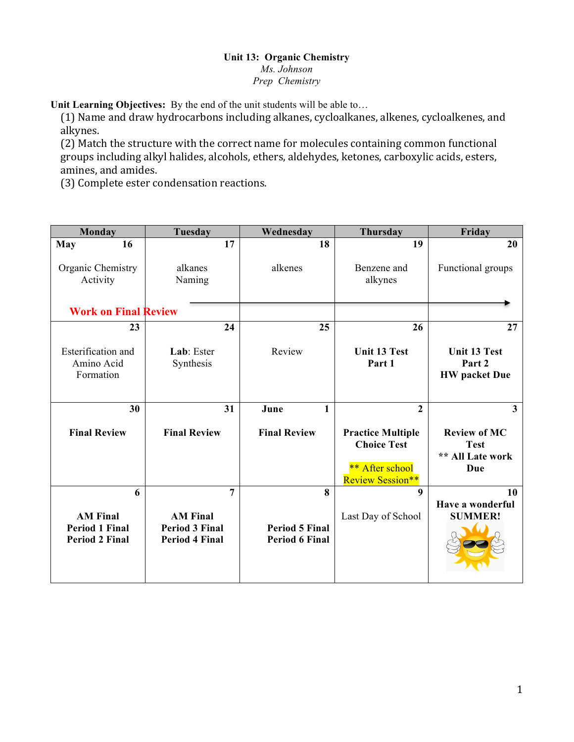### **Unit 13: Organic Chemistry** *Ms. Johnson Prep Chemistry*

**Unit Learning Objectives:** By the end of the unit students will be able to…

(1) Name and draw hydrocarbons including alkanes, cycloalkanes, alkenes, cycloalkenes, and alkynes. 

(2) Match the structure with the correct name for molecules containing common functional groups including alkyl halides, alcohols, ethers, aldehydes, ketones, carboxylic acids, esters, amines, and amides.

(3) Complete ester condensation reactions.

| <b>Monday</b>                                                          | Tuesday                                                                | Wednesday                                           | <b>Thursday</b>                                                                              | Friday                                                        |
|------------------------------------------------------------------------|------------------------------------------------------------------------|-----------------------------------------------------|----------------------------------------------------------------------------------------------|---------------------------------------------------------------|
| May<br>16                                                              | 17                                                                     | 18                                                  | 19                                                                                           | 20                                                            |
| Organic Chemistry<br>Activity                                          | alkanes<br>Naming                                                      | alkenes                                             | Benzene and<br>alkynes                                                                       | Functional groups                                             |
| <b>Work on Final Review</b>                                            |                                                                        |                                                     |                                                                                              |                                                               |
| 23                                                                     | 24                                                                     | 25                                                  | 26                                                                                           | 27                                                            |
| Esterification and<br>Amino Acid<br>Formation                          | Lab: Ester<br>Synthesis                                                | Review                                              | <b>Unit 13 Test</b><br>Part 1                                                                | <b>Unit 13 Test</b><br>Part 2<br><b>HW</b> packet Due         |
| 30                                                                     | 31                                                                     | 1<br>June                                           | $\overline{2}$                                                                               | $\overline{\mathbf{3}}$                                       |
| <b>Final Review</b>                                                    | <b>Final Review</b>                                                    | <b>Final Review</b>                                 | <b>Practice Multiple</b><br><b>Choice Test</b><br>** After school<br><b>Review Session**</b> | <b>Review of MC</b><br><b>Test</b><br>** All Late work<br>Due |
| 6<br><b>AM Final</b><br><b>Period 1 Final</b><br><b>Period 2 Final</b> | 7<br><b>AM Final</b><br><b>Period 3 Final</b><br><b>Period 4 Final</b> | 8<br><b>Period 5 Final</b><br><b>Period 6 Final</b> | 9<br>Last Day of School                                                                      | 10<br>Have a wonderful<br><b>SUMMER!</b>                      |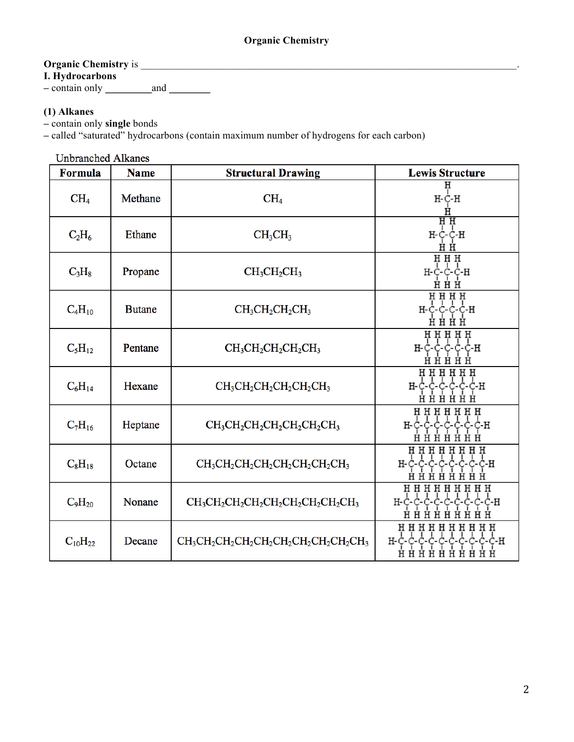# **Organic Chemistry** is \_\_\_\_\_\_\_\_\_\_\_\_\_\_\_\_\_\_\_\_\_\_\_\_\_\_\_\_\_\_\_\_\_\_\_\_\_\_\_\_\_\_\_\_\_\_\_\_\_\_\_\_\_\_\_\_\_\_\_\_\_\_\_\_\_\_\_\_\_\_\_\_\_.

**I. Hydrocarbons**

**–** contain only \_\_\_\_\_\_\_\_\_and \_\_\_\_\_\_\_\_

# **(1) Alkanes**

**–** contain only **single** bonds

**–** called "saturated" hydrocarbons (contain maximum number of hydrogens for each carbon)

# **Unbranched Alkanes**

| <b>Formula</b>  | <b>Name</b>   | <b>Structural Drawing</b>                          | <b>Lewis Structure</b>                                        |
|-----------------|---------------|----------------------------------------------------|---------------------------------------------------------------|
| CH <sub>4</sub> | Methane       | CH <sub>4</sub>                                    | н<br>H-C-H<br>н                                               |
| $C_2H_6$        | Ethane        | CH <sub>3</sub> CH <sub>3</sub>                    | НH<br>H-C-C-H<br>нн                                           |
| $C_3H_8$        | Propane       | $CH3CH2CH3$                                        | HHH<br>H-C-C-C-H<br>ĤĤĤ                                       |
| $C_4H_{10}$     | <b>Butane</b> | $CH_3CH_2CH_2CH_3$                                 | HHHH<br>H-C-C-C-C-H<br>нннн                                   |
| $C_5H_{12}$     | Pentane       | $CH3CH2CH2CH2CH3$                                  | HHHHH<br>H-C-C-C-C-C-H<br>ннннн                               |
| $C_6H_{14}$     | Hexane        | $CH_3CH_2CH_2CH_2CH_2CH_2CH_3$                     | HHHHHH<br>н-c-c-c-c-c-н<br>HHHHHH                             |
| $C_7H_{16}$     | Heptane       | $CH_3CH_2CH_2CH_2CH_2CH_2CH_2CH_3$                 | HHHHHH<br>H-C-C-C-C-C-C-C-H<br>H H H<br>HHHH                  |
| $C_8H_{18}$     | Octane        | $CH_3CH_2CH_2CH_2CH_2CH_2CH_2CH_2CH_3$             | HHHHHHH<br>H-C-C-C-C-C-C-C-C-H<br>H H<br>нннн                 |
| $C_9H_{20}$     | Nonane        | $CH_3CH_2CH_2CH_2CH_2CH_2CH_2CH_2CH_2CH_3$         | HHHHHH<br>HHH<br>H-C-C-C-C-C-C-C-C-C-H<br>НH                  |
| $C_{10}H_{22}$  | Decane        | $CH_3CH_2CH_2CH_2CH_2CH_2CH_2CH_2CH_2CH_2CH_2CH_3$ | H H H H H H H H H<br>H-C-C-C-C-C-C-C-<br>C-H<br>HHHHHH<br>H H |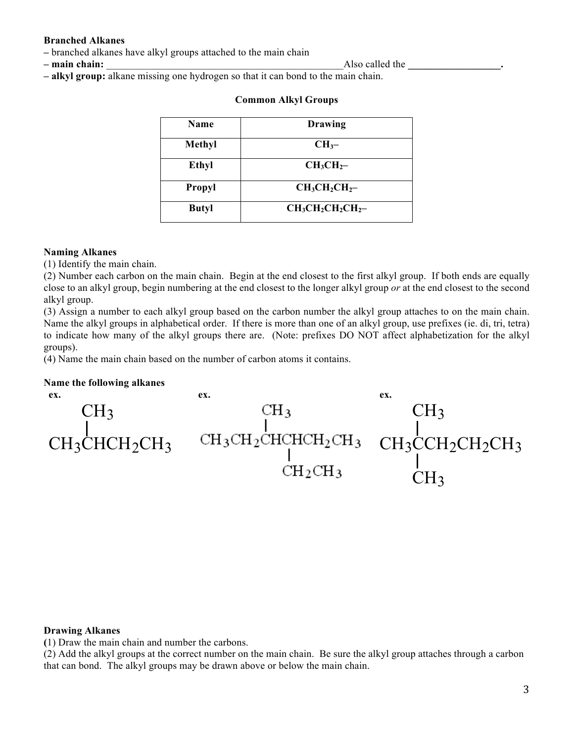### **Branched Alkanes**

**–** branched alkanes have alkyl groups attached to the main chain

**– main chain:** \_\_\_\_\_\_\_\_\_\_\_\_\_\_\_\_\_\_\_\_\_\_\_\_\_\_\_\_\_\_\_\_\_\_\_\_\_\_\_\_\_\_\_\_\_\_Also called the **\_\_\_\_\_\_\_\_\_\_\_\_\_\_\_\_\_\_.**

**– alkyl group:** alkane missing one hydrogen so that it can bond to the main chain.

| Name          | <b>Drawing</b> |  |
|---------------|----------------|--|
| <b>Methyl</b> | $CH_{3}$ -     |  |
| Ethyl         | $CH_3CH_2-$    |  |
| Propyl        | $CH3CH2CH2$    |  |
| <b>Butyl</b>  | $CH3CH2CH2CH2$ |  |

### **Common Alkyl Groups**

### **Naming Alkanes**

(1) Identify the main chain.

(2) Number each carbon on the main chain. Begin at the end closest to the first alkyl group. If both ends are equally close to an alkyl group, begin numbering at the end closest to the longer alkyl group *or* at the end closest to the second alkyl group.

(3) Assign a number to each alkyl group based on the carbon number the alkyl group attaches to on the main chain. Name the alkyl groups in alphabetical order. If there is more than one of an alkyl group, use prefixes (ie. di, tri, tetra) to indicate how many of the alkyl groups there are. (Note: prefixes DO NOT affect alphabetization for the alkyl groups).

(4) Name the main chain based on the number of carbon atoms it contains.

### **Name the following alkanes**



### **Drawing Alkanes**

**(**1) Draw the main chain and number the carbons.

(2) Add the alkyl groups at the correct number on the main chain. Be sure the alkyl group attaches through a carbon that can bond. The alkyl groups may be drawn above or below the main chain.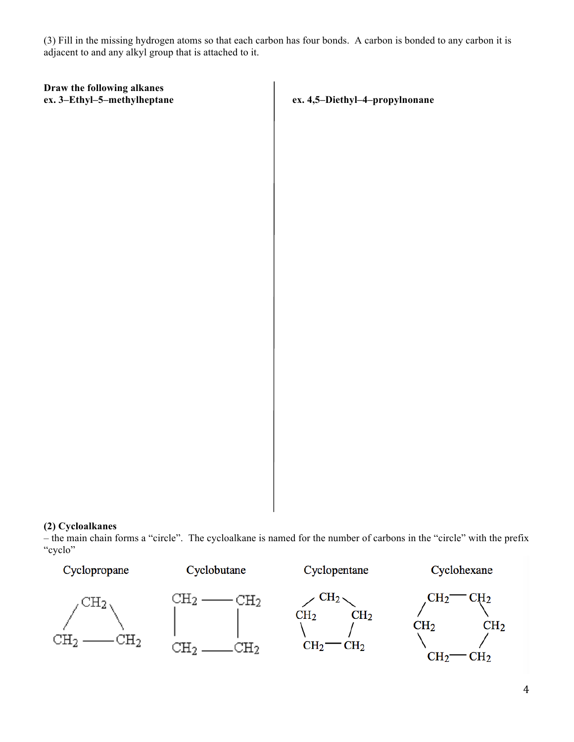(3) Fill in the missing hydrogen atoms so that each carbon has four bonds. A carbon is bonded to any carbon it is adjacent to and any alkyl group that is attached to it.

# **Draw the following alkanes ex. 3–Ethyl–5–methylheptane ex. 4,5–Diethyl–4–propylnonane**

### **(2) Cycloalkanes**

– the main chain forms a "circle". The cycloalkane is named for the number of carbons in the "circle" with the prefix "cyclo"

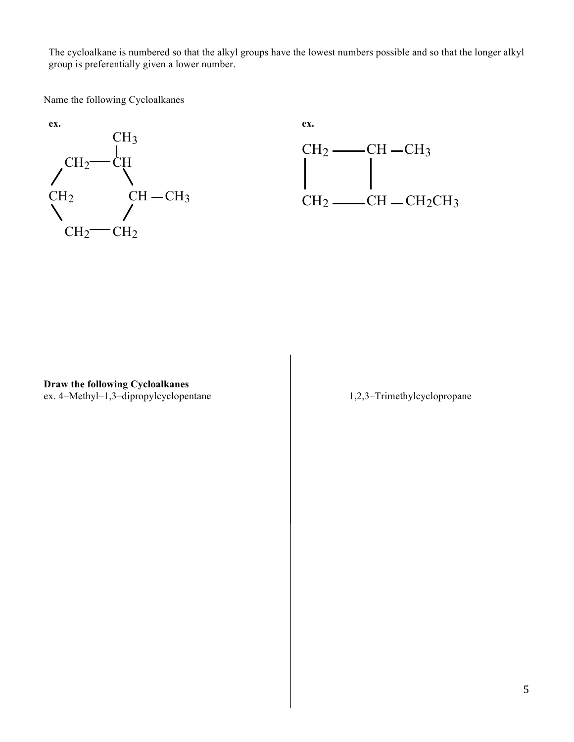The cycloalkane is numbered so that the alkyl groups have the lowest numbers possible and so that the longer alkyl group is preferentially given a lower number.

Name the following Cycloalkanes





### **Draw the following Cycloalkanes**

ex. 4–Methyl–1,3–dipropylcyclopentane 1,2,3–Trimethylcyclopropane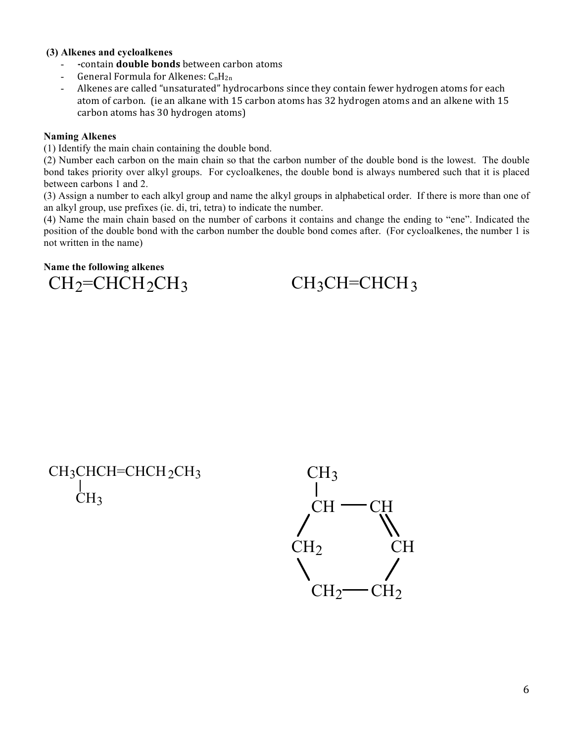# **(3) Alkenes and cycloalkenes**

- **-**contain **double bonds** between carbon atoms
- General Formula for Alkenes:  $C_nH_{2n}$
- Alkenes are called "unsaturated" hydrocarbons since they contain fewer hydrogen atoms for each atom of carbon. (ie an alkane with 15 carbon atoms has 32 hydrogen atoms and an alkene with 15 carbon atoms has 30 hydrogen atoms)

### **Naming Alkenes**

(1) Identify the main chain containing the double bond.

(2) Number each carbon on the main chain so that the carbon number of the double bond is the lowest. The double bond takes priority over alkyl groups. For cycloalkenes, the double bond is always numbered such that it is placed between carbons 1 and 2.

(3) Assign a number to each alkyl group and name the alkyl groups in alphabetical order. If there is more than one of an alkyl group, use prefixes (ie. di, tri, tetra) to indicate the number.

(4) Name the main chain based on the number of carbons it contains and change the ending to "ene". Indicated the position of the double bond with the carbon number the double bond comes after. (For cycloalkenes, the number 1 is not written in the name)

# **Name the following alkenes**





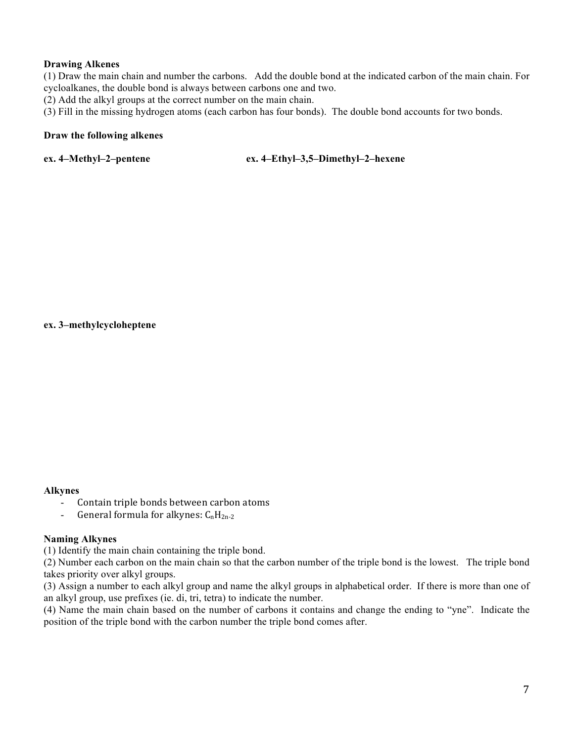### **Drawing Alkenes**

(1) Draw the main chain and number the carbons. Add the double bond at the indicated carbon of the main chain. For cycloalkanes, the double bond is always between carbons one and two.

(2) Add the alkyl groups at the correct number on the main chain.

(3) Fill in the missing hydrogen atoms (each carbon has four bonds). The double bond accounts for two bonds.

### **Draw the following alkenes**

**ex. 4–Methyl–2–pentene ex. 4–Ethyl–3,5–Dimethyl–2–hexene**

### **ex. 3–methylcycloheptene**

### **Alkynes**

- Contain triple bonds between carbon atoms
- General formula for alkynes:  $C_nH_{2n-2}$

### **Naming Alkynes**

(1) Identify the main chain containing the triple bond.

(2) Number each carbon on the main chain so that the carbon number of the triple bond is the lowest. The triple bond takes priority over alkyl groups.

(3) Assign a number to each alkyl group and name the alkyl groups in alphabetical order. If there is more than one of an alkyl group, use prefixes (ie. di, tri, tetra) to indicate the number.

(4) Name the main chain based on the number of carbons it contains and change the ending to "yne". Indicate the position of the triple bond with the carbon number the triple bond comes after.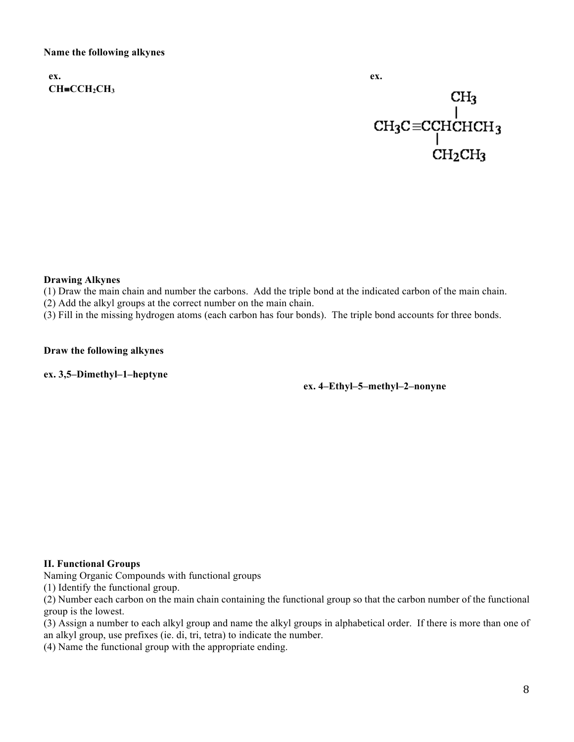### **Name the following alkynes**

**ex. CH**≡**CCH2CH3** **ex.**



### **Drawing Alkynes**

(1) Draw the main chain and number the carbons. Add the triple bond at the indicated carbon of the main chain.

(2) Add the alkyl groups at the correct number on the main chain.

(3) Fill in the missing hydrogen atoms (each carbon has four bonds). The triple bond accounts for three bonds.

### **Draw the following alkynes**

**ex. 3,5–Dimethyl–1–heptyne**

**ex. 4–Ethyl–5–methyl–2–nonyne**

### **II. Functional Groups**

Naming Organic Compounds with functional groups

(1) Identify the functional group.

(2) Number each carbon on the main chain containing the functional group so that the carbon number of the functional group is the lowest.

(3) Assign a number to each alkyl group and name the alkyl groups in alphabetical order. If there is more than one of an alkyl group, use prefixes (ie. di, tri, tetra) to indicate the number.

(4) Name the functional group with the appropriate ending.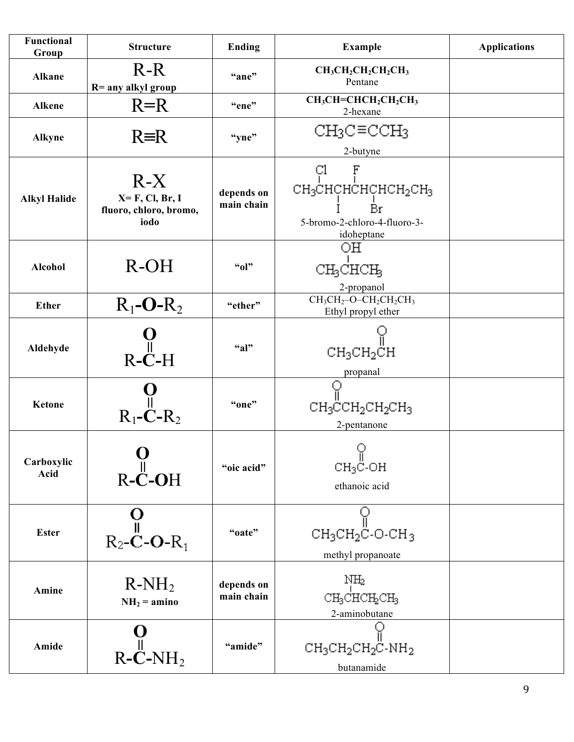| Functional<br>Group | <b>Structure</b>                                               | <b>Ending</b>            | <b>Example</b>                                                                                                               | <b>Applications</b> |
|---------------------|----------------------------------------------------------------|--------------------------|------------------------------------------------------------------------------------------------------------------------------|---------------------|
| <b>Alkane</b>       | $R-R$<br>R= any alkyl group                                    | "ane"                    | $CH3CH2CH2CH2CH3$<br>Pentane                                                                                                 |                     |
| <b>Alkene</b>       | $R=R$                                                          | "ene"                    | $CH3CH=CHCH2CH2CH3$<br>2-hexane                                                                                              |                     |
| Alkyne              | $R\equiv R$                                                    | "yne"                    | CH3C≡CCH3<br>2-butyne                                                                                                        |                     |
| <b>Alkyl Halide</b> | $R-X$<br>$X = F$ , Cl, Br, I<br>fluoro, chloro, bromo,<br>iodo | depends on<br>main chain | $\begin{bmatrix} C1 & F \\ I & I \end{bmatrix}$<br>$CH3CHCHCHCHCHCH2CH3$<br>Br<br>5-bromo-2-chloro-4-fluoro-3-<br>idoheptane |                     |
| Alcohol             | $R-OH$                                                         | "ol"                     | OН<br>CH <sub>3</sub> CHCH <sub>3</sub><br>2-propanol                                                                        |                     |
| <b>Ether</b>        | $R_1$ -O- $R_2$                                                | "ether"                  | $CH3CH2-O-CH2CH2CH3$<br>Ethyl propyl ether                                                                                   |                     |
| Aldehyde            | $R-\ddot{C}-H$                                                 | "al"                     | $CH_3CH_2CH$<br>propanal                                                                                                     |                     |
| Ketone              | $Q_{\parallel}$<br>R <sub>1</sub> -C-R <sub>2</sub>            | "one"                    | $CH_3CCH_2CH_2CH_3$<br>2-pentanone                                                                                           |                     |
| Carboxylic<br>Acid  | $\Omega$<br>$R$ -C-OH                                          | "oic acid"               | О<br>$CH3$ $C-OH$<br>ethanoic acid                                                                                           |                     |
| <b>Ester</b>        | $R_2$ -C-O- $R_1$                                              | "oate"                   | $CH3CH2C-O-CH3$<br>methyl propanoate                                                                                         |                     |
| Amine               | $R-NH_2$<br>$NH2 = amino$                                      | depends on<br>main chain | $\text{NH}_2$<br>CH <sub>3</sub> CHCH <sub>2</sub> CH <sub>3</sub><br>2-aminobutane                                          |                     |
| Amide               | $R-\ddot{C}-NH_2$                                              | "amide"                  | $CH_3CH_2CH_2C-NH_2$<br>butanamide                                                                                           |                     |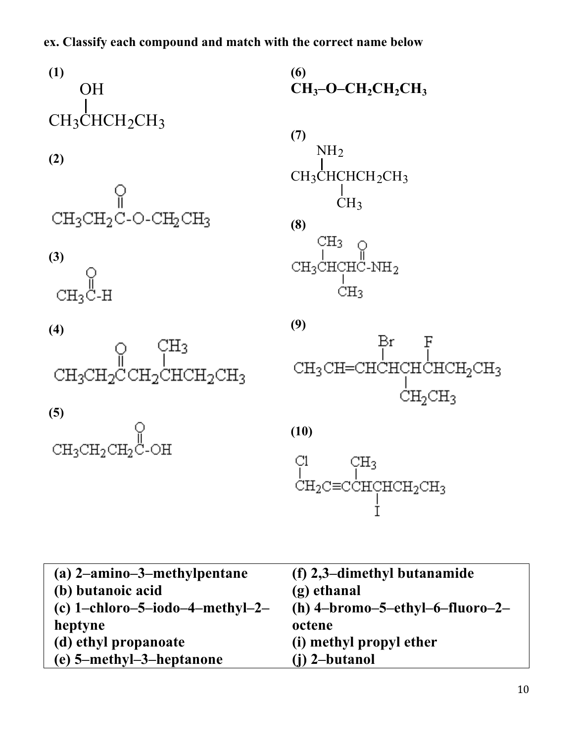**ex. Classify each compound and match with the correct name below**



**(j) 2–butanol**

**(e) 5–methyl–3–heptanone**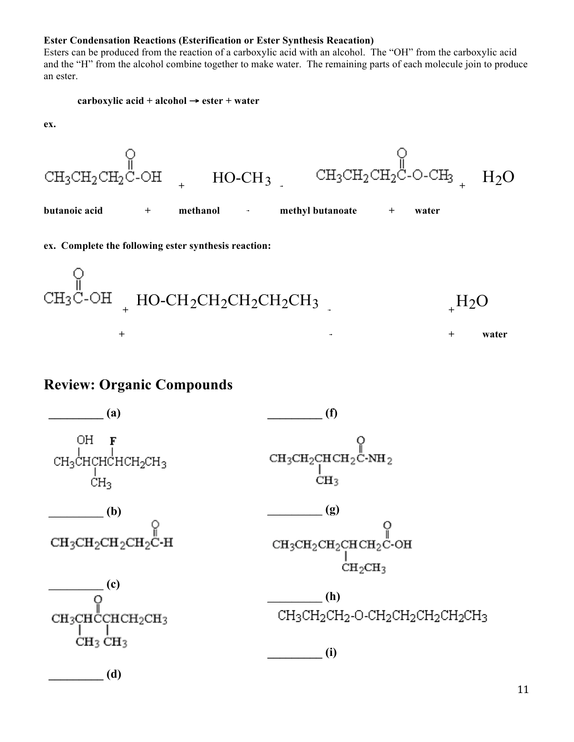### **Ester Condensation Reactions (Esterification or Ester Synthesis Reacation)**

Esters can be produced from the reaction of a carboxylic acid with an alcohol. The "OH" from the carboxylic acid and the "H" from the alcohol combine together to make water. The remaining parts of each molecule join to produce an ester.

# **carboxylic acid + alcohol** → **ester + water**

**ex.** 



# **ex. Complete the following ester synthesis reaction:**



# **Review: Organic Compounds**